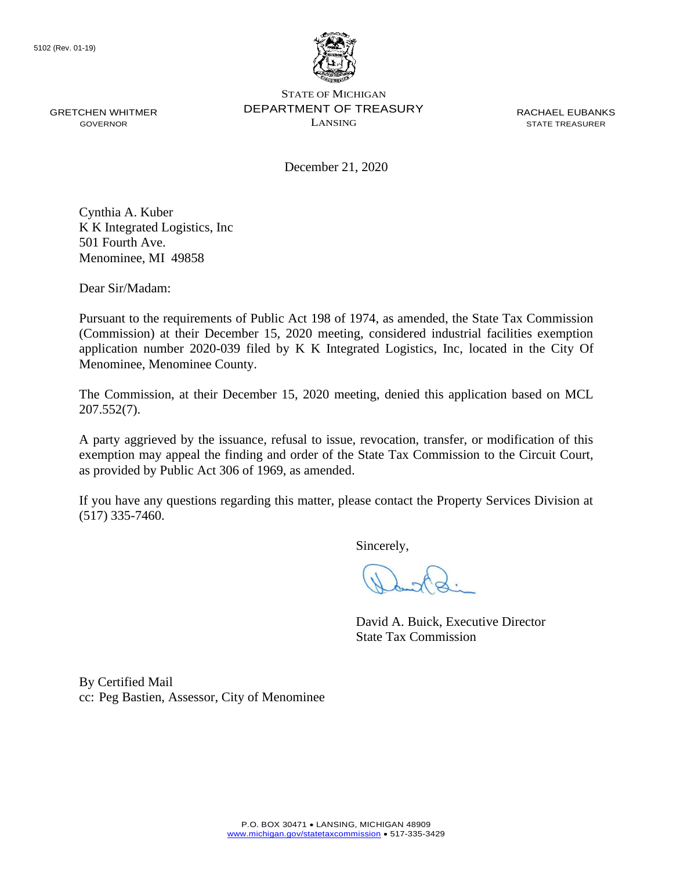

GRETCHEN WHITMER GOVERNOR

STATE OF MICHIGAN DEPARTMENT OF TREASURY LANSING

RACHAEL EUBANKS STATE TREASURER

December 21, 2020

Cynthia A. Kuber K K Integrated Logistics, Inc 501 Fourth Ave. Menominee, MI 49858

Dear Sir/Madam:

Pursuant to the requirements of Public Act 198 of 1974, as amended, the State Tax Commission (Commission) at their December 15, 2020 meeting, considered industrial facilities exemption application number 2020-039 filed by K K Integrated Logistics, Inc, located in the City Of Menominee, Menominee County.

The Commission, at their December 15, 2020 meeting, denied this application based on MCL 207.552(7).

A party aggrieved by the issuance, refusal to issue, revocation, transfer, or modification of this exemption may appeal the finding and order of the State Tax Commission to the Circuit Court, as provided by Public Act 306 of 1969, as amended.

If you have any questions regarding this matter, please contact the Property Services Division at (517) 335-7460.

Sincerely,

David A. Buick, Executive Director State Tax Commission

By Certified Mail cc: Peg Bastien, Assessor, City of Menominee